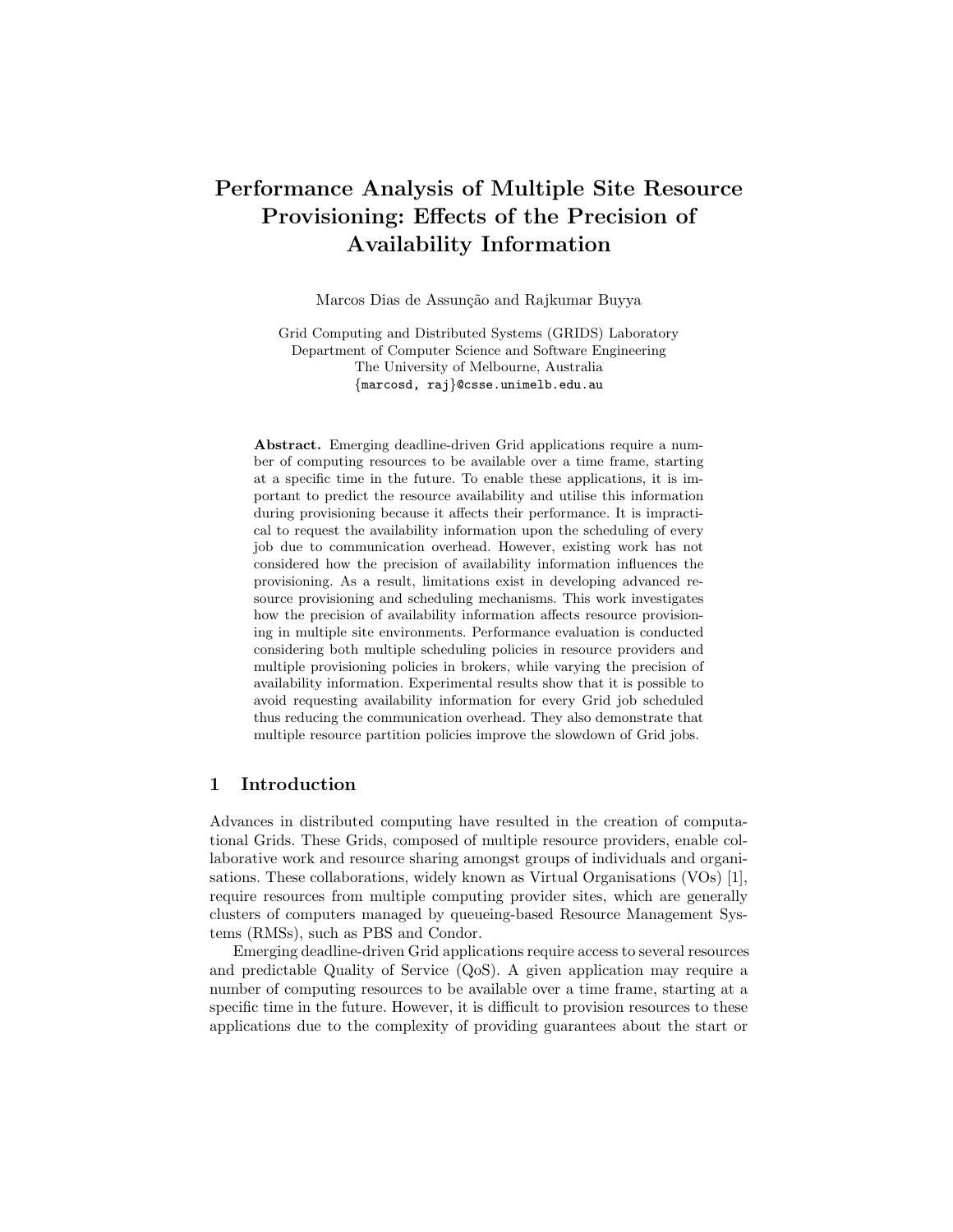# Performance Analysis of Multiple Site Resource Provisioning: Effects of the Precision of Availability Information

Marcos Dias de Assunção and Rajkumar Buyya

Grid Computing and Distributed Systems (GRIDS) Laboratory Department of Computer Science and Software Engineering The University of Melbourne, Australia {marcosd, raj}@csse.unimelb.edu.au

Abstract. Emerging deadline-driven Grid applications require a number of computing resources to be available over a time frame, starting at a specific time in the future. To enable these applications, it is important to predict the resource availability and utilise this information during provisioning because it affects their performance. It is impractical to request the availability information upon the scheduling of every job due to communication overhead. However, existing work has not considered how the precision of availability information influences the provisioning. As a result, limitations exist in developing advanced resource provisioning and scheduling mechanisms. This work investigates how the precision of availability information affects resource provisioning in multiple site environments. Performance evaluation is conducted considering both multiple scheduling policies in resource providers and multiple provisioning policies in brokers, while varying the precision of availability information. Experimental results show that it is possible to avoid requesting availability information for every Grid job scheduled thus reducing the communication overhead. They also demonstrate that multiple resource partition policies improve the slowdown of Grid jobs.

## 1 Introduction

Advances in distributed computing have resulted in the creation of computational Grids. These Grids, composed of multiple resource providers, enable collaborative work and resource sharing amongst groups of individuals and organisations. These collaborations, widely known as Virtual Organisations (VOs) [1], require resources from multiple computing provider sites, which are generally clusters of computers managed by queueing-based Resource Management Systems (RMSs), such as PBS and Condor.

Emerging deadline-driven Grid applications require access to several resources and predictable Quality of Service (QoS). A given application may require a number of computing resources to be available over a time frame, starting at a specific time in the future. However, it is difficult to provision resources to these applications due to the complexity of providing guarantees about the start or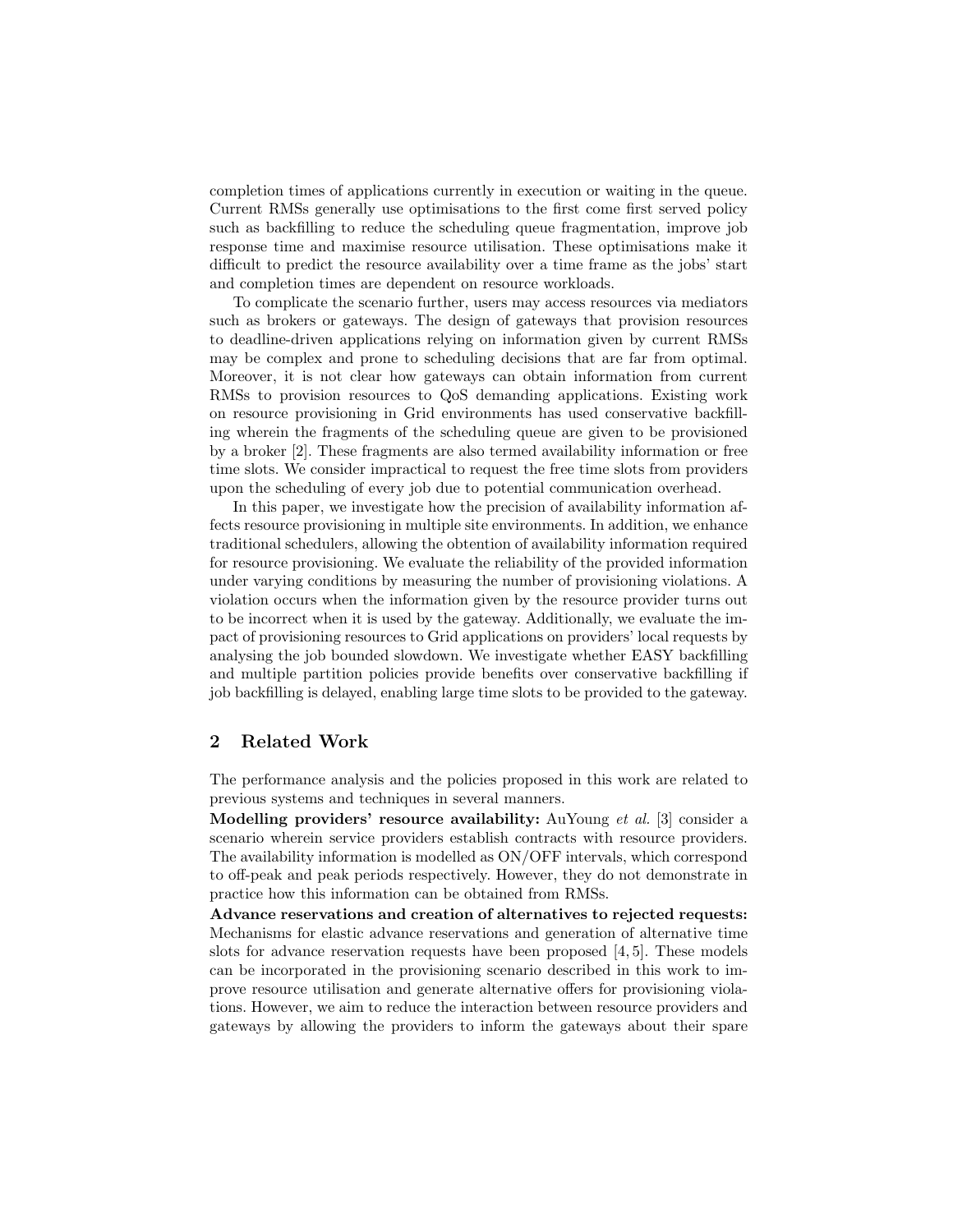completion times of applications currently in execution or waiting in the queue. Current RMSs generally use optimisations to the first come first served policy such as backfilling to reduce the scheduling queue fragmentation, improve job response time and maximise resource utilisation. These optimisations make it difficult to predict the resource availability over a time frame as the jobs' start and completion times are dependent on resource workloads.

To complicate the scenario further, users may access resources via mediators such as brokers or gateways. The design of gateways that provision resources to deadline-driven applications relying on information given by current RMSs may be complex and prone to scheduling decisions that are far from optimal. Moreover, it is not clear how gateways can obtain information from current RMSs to provision resources to QoS demanding applications. Existing work on resource provisioning in Grid environments has used conservative backfilling wherein the fragments of the scheduling queue are given to be provisioned by a broker [2]. These fragments are also termed availability information or free time slots. We consider impractical to request the free time slots from providers upon the scheduling of every job due to potential communication overhead.

In this paper, we investigate how the precision of availability information affects resource provisioning in multiple site environments. In addition, we enhance traditional schedulers, allowing the obtention of availability information required for resource provisioning. We evaluate the reliability of the provided information under varying conditions by measuring the number of provisioning violations. A violation occurs when the information given by the resource provider turns out to be incorrect when it is used by the gateway. Additionally, we evaluate the impact of provisioning resources to Grid applications on providers' local requests by analysing the job bounded slowdown. We investigate whether EASY backfilling and multiple partition policies provide benefits over conservative backfilling if job backfilling is delayed, enabling large time slots to be provided to the gateway.

## 2 Related Work

The performance analysis and the policies proposed in this work are related to previous systems and techniques in several manners.

Modelling providers' resource availability: AuYoung et al. [3] consider a scenario wherein service providers establish contracts with resource providers. The availability information is modelled as ON/OFF intervals, which correspond to off-peak and peak periods respectively. However, they do not demonstrate in practice how this information can be obtained from RMSs.

Advance reservations and creation of alternatives to rejected requests: Mechanisms for elastic advance reservations and generation of alternative time slots for advance reservation requests have been proposed  $[4, 5]$ . These models can be incorporated in the provisioning scenario described in this work to improve resource utilisation and generate alternative offers for provisioning violations. However, we aim to reduce the interaction between resource providers and gateways by allowing the providers to inform the gateways about their spare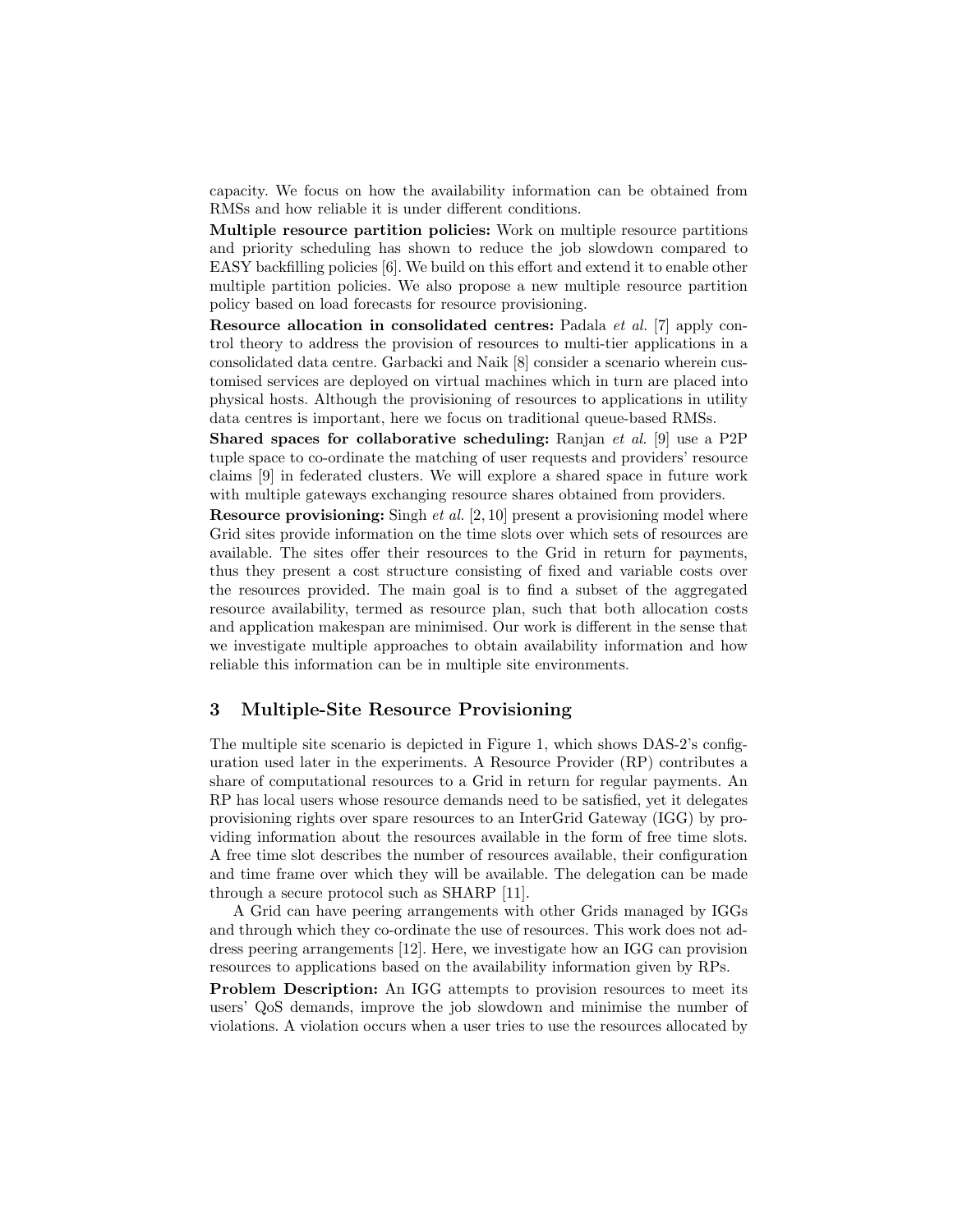capacity. We focus on how the availability information can be obtained from RMSs and how reliable it is under different conditions.

Multiple resource partition policies: Work on multiple resource partitions and priority scheduling has shown to reduce the job slowdown compared to EASY backfilling policies [6]. We build on this effort and extend it to enable other multiple partition policies. We also propose a new multiple resource partition policy based on load forecasts for resource provisioning.

Resource allocation in consolidated centres: Padala et al. [7] apply control theory to address the provision of resources to multi-tier applications in a consolidated data centre. Garbacki and Naik [8] consider a scenario wherein customised services are deployed on virtual machines which in turn are placed into physical hosts. Although the provisioning of resources to applications in utility data centres is important, here we focus on traditional queue-based RMSs.

Shared spaces for collaborative scheduling: Ranjan et al. [9] use a P2P tuple space to co-ordinate the matching of user requests and providers' resource claims [9] in federated clusters. We will explore a shared space in future work with multiple gateways exchanging resource shares obtained from providers.

**Resource provisioning:** Singh *et al.* [2, 10] present a provisioning model where Grid sites provide information on the time slots over which sets of resources are available. The sites offer their resources to the Grid in return for payments, thus they present a cost structure consisting of fixed and variable costs over the resources provided. The main goal is to find a subset of the aggregated resource availability, termed as resource plan, such that both allocation costs and application makespan are minimised. Our work is different in the sense that we investigate multiple approaches to obtain availability information and how reliable this information can be in multiple site environments.

## 3 Multiple-Site Resource Provisioning

The multiple site scenario is depicted in Figure 1, which shows DAS-2's configuration used later in the experiments. A Resource Provider (RP) contributes a share of computational resources to a Grid in return for regular payments. An RP has local users whose resource demands need to be satisfied, yet it delegates provisioning rights over spare resources to an InterGrid Gateway (IGG) by providing information about the resources available in the form of free time slots. A free time slot describes the number of resources available, their configuration and time frame over which they will be available. The delegation can be made through a secure protocol such as SHARP [11].

A Grid can have peering arrangements with other Grids managed by IGGs and through which they co-ordinate the use of resources. This work does not address peering arrangements [12]. Here, we investigate how an IGG can provision resources to applications based on the availability information given by RPs.

Problem Description: An IGG attempts to provision resources to meet its users' QoS demands, improve the job slowdown and minimise the number of violations. A violation occurs when a user tries to use the resources allocated by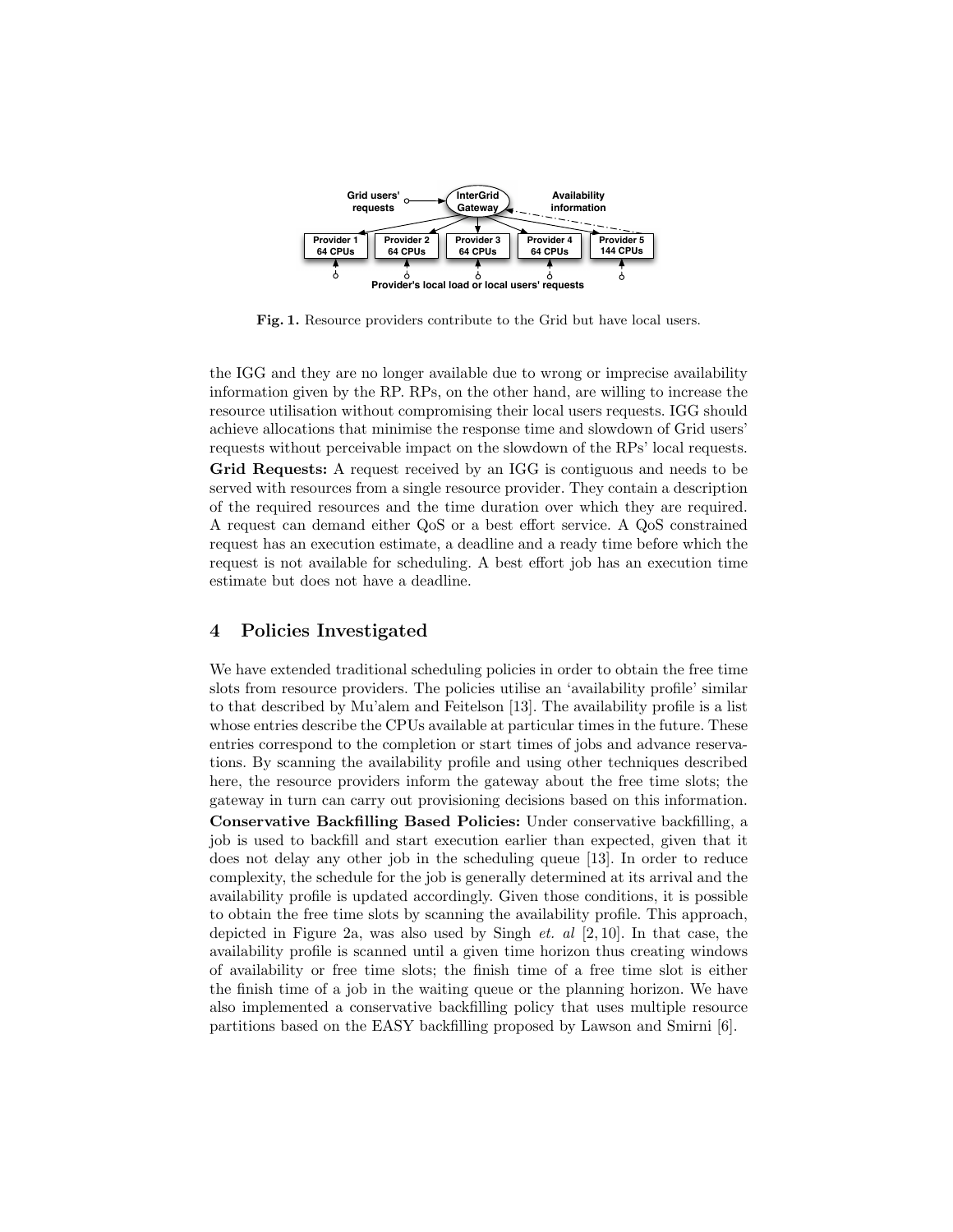

Fig. 1. Resource providers contribute to the Grid but have local users.

the IGG and they are no longer available due to wrong or imprecise availability information given by the RP. RPs, on the other hand, are willing to increase the resource utilisation without compromising their local users requests. IGG should achieve allocations that minimise the response time and slowdown of Grid users' requests without perceivable impact on the slowdown of the RPs' local requests. Grid Requests: A request received by an IGG is contiguous and needs to be served with resources from a single resource provider. They contain a description of the required resources and the time duration over which they are required. A request can demand either QoS or a best effort service. A QoS constrained request has an execution estimate, a deadline and a ready time before which the request is not available for scheduling. A best effort job has an execution time estimate but does not have a deadline.

#### 4 Policies Investigated

We have extended traditional scheduling policies in order to obtain the free time slots from resource providers. The policies utilise an 'availability profile' similar to that described by Mu'alem and Feitelson [13]. The availability profile is a list whose entries describe the CPUs available at particular times in the future. These entries correspond to the completion or start times of jobs and advance reservations. By scanning the availability profile and using other techniques described here, the resource providers inform the gateway about the free time slots; the gateway in turn can carry out provisioning decisions based on this information. Conservative Backfilling Based Policies: Under conservative backfilling, a job is used to backfill and start execution earlier than expected, given that it does not delay any other job in the scheduling queue [13]. In order to reduce complexity, the schedule for the job is generally determined at its arrival and the availability profile is updated accordingly. Given those conditions, it is possible to obtain the free time slots by scanning the availability profile. This approach, depicted in Figure 2a, was also used by Singh  $et.$  al  $[2, 10]$ . In that case, the availability profile is scanned until a given time horizon thus creating windows of availability or free time slots; the finish time of a free time slot is either the finish time of a job in the waiting queue or the planning horizon. We have also implemented a conservative backfilling policy that uses multiple resource partitions based on the EASY backfilling proposed by Lawson and Smirni [6].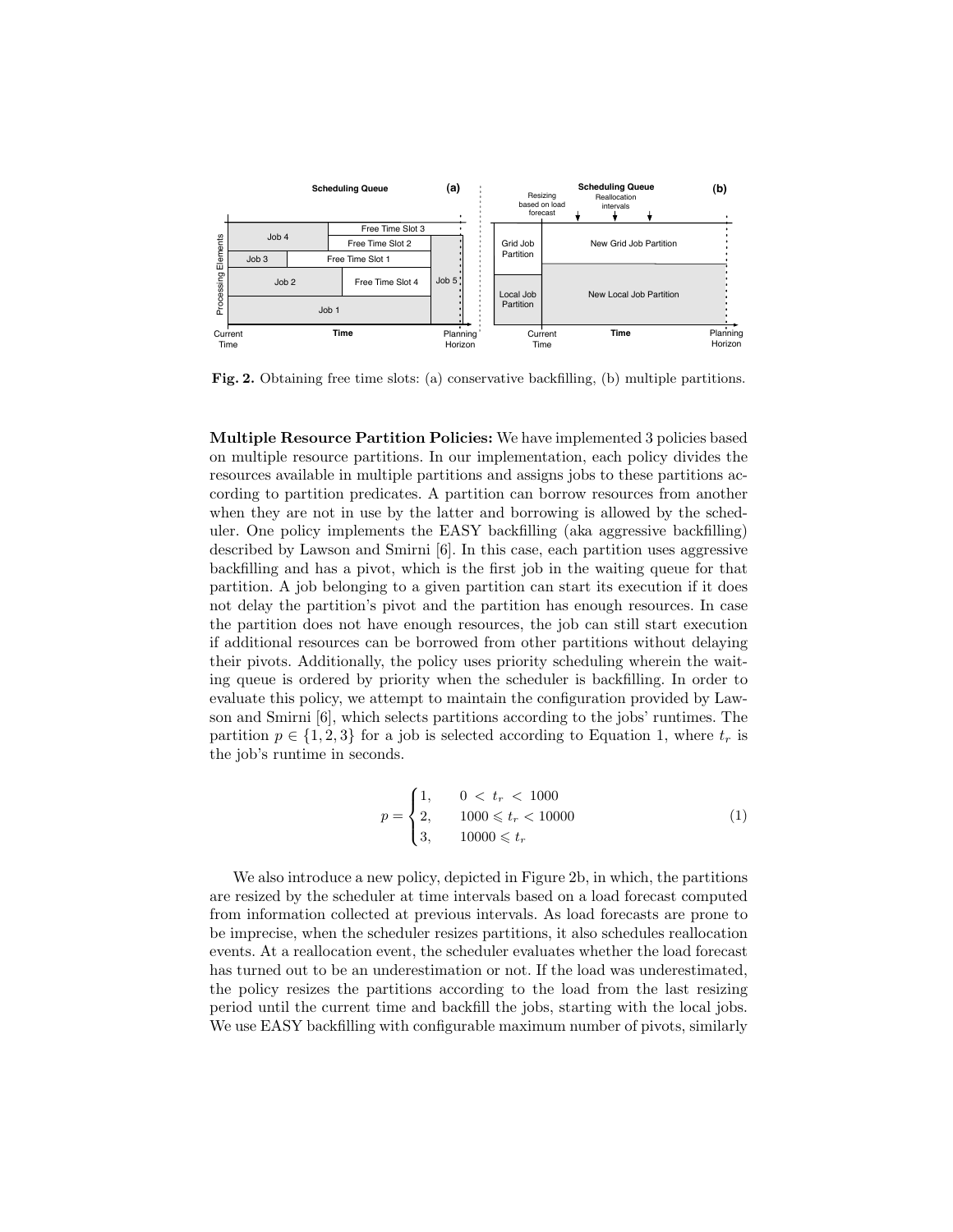

Fig. 2. Obtaining free time slots: (a) conservative backfilling, (b) multiple partitions.

Multiple Resource Partition Policies: We have implemented 3 policies based on multiple resource partitions. In our implementation, each policy divides the resources available in multiple partitions and assigns jobs to these partitions according to partition predicates. A partition can borrow resources from another when they are not in use by the latter and borrowing is allowed by the scheduler. One policy implements the EASY backfilling (aka aggressive backfilling) described by Lawson and Smirni [6]. In this case, each partition uses aggressive backfilling and has a pivot, which is the first job in the waiting queue for that partition. A job belonging to a given partition can start its execution if it does not delay the partition's pivot and the partition has enough resources. In case the partition does not have enough resources, the job can still start execution if additional resources can be borrowed from other partitions without delaying their pivots. Additionally, the policy uses priority scheduling wherein the waiting queue is ordered by priority when the scheduler is backfilling. In order to evaluate this policy, we attempt to maintain the configuration provided by Lawson and Smirni [6], which selects partitions according to the jobs' runtimes. The partition  $p \in \{1, 2, 3\}$  for a job is selected according to Equation 1, where  $t_r$  is the job's runtime in seconds.

$$
p = \begin{cases} 1, & 0 < t_r < 1000 \\ 2, & 1000 \le t_r < 10000 \\ 3, & 10000 \le t_r \end{cases} \tag{1}
$$

We also introduce a new policy, depicted in Figure 2b, in which, the partitions are resized by the scheduler at time intervals based on a load forecast computed from information collected at previous intervals. As load forecasts are prone to be imprecise, when the scheduler resizes partitions, it also schedules reallocation events. At a reallocation event, the scheduler evaluates whether the load forecast has turned out to be an underestimation or not. If the load was underestimated, the policy resizes the partitions according to the load from the last resizing period until the current time and backfill the jobs, starting with the local jobs. We use EASY backfilling with configurable maximum number of pivots, similarly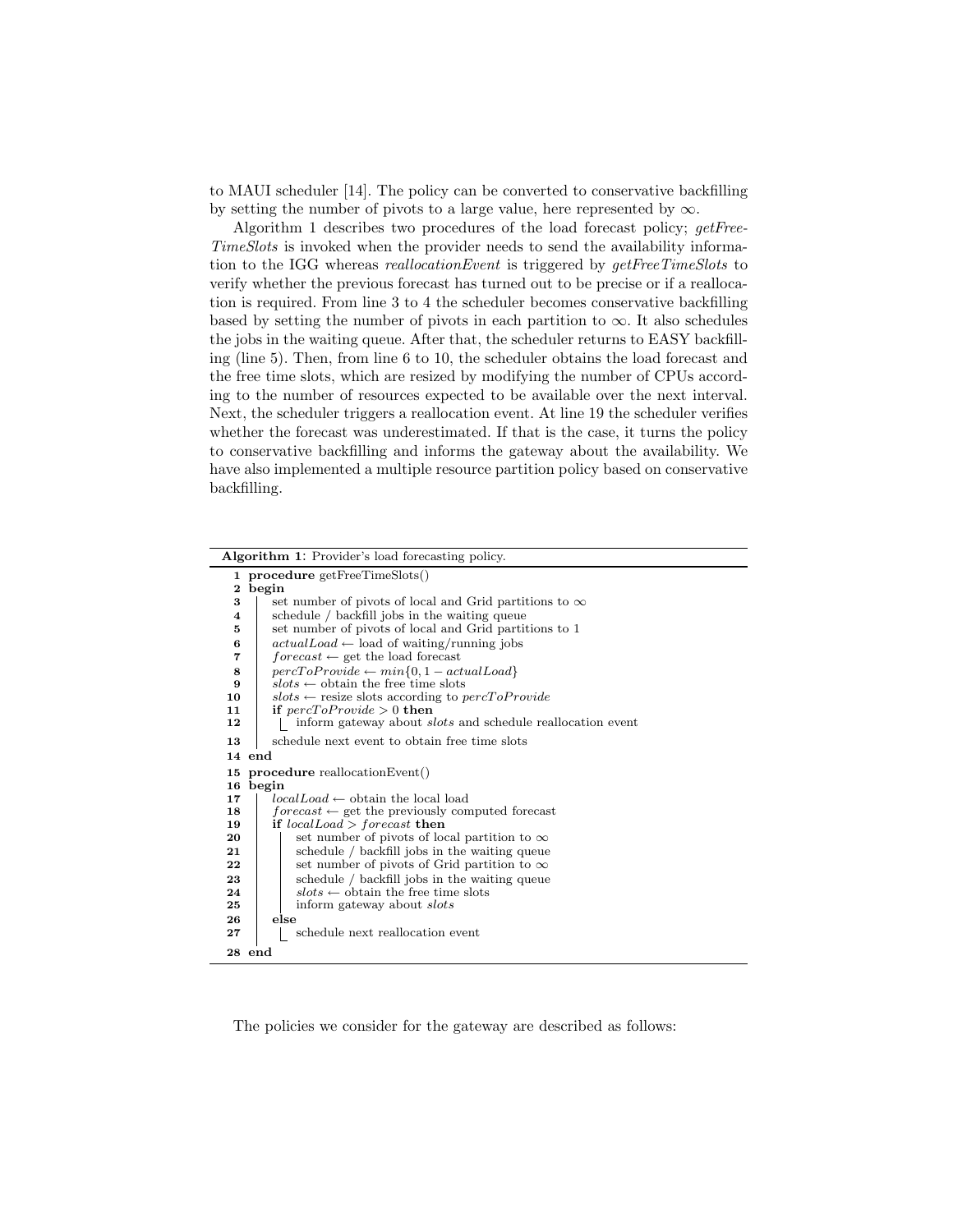to MAUI scheduler [14]. The policy can be converted to conservative backfilling by setting the number of pivots to a large value, here represented by  $\infty$ .

Algorithm 1 describes two procedures of the load forecast policy; getFree-TimeSlots is invoked when the provider needs to send the availability information to the IGG whereas reallocationEvent is triggered by getFreeTimeSlots to verify whether the previous forecast has turned out to be precise or if a reallocation is required. From line 3 to 4 the scheduler becomes conservative backfilling based by setting the number of pivots in each partition to  $\infty$ . It also schedules the jobs in the waiting queue. After that, the scheduler returns to EASY backfilling (line 5). Then, from line 6 to 10, the scheduler obtains the load forecast and the free time slots, which are resized by modifying the number of CPUs according to the number of resources expected to be available over the next interval. Next, the scheduler triggers a reallocation event. At line 19 the scheduler verifies whether the forecast was underestimated. If that is the case, it turns the policy to conservative backfilling and informs the gateway about the availability. We have also implemented a multiple resource partition policy based on conservative backfilling.

| Algorithm 1: Provider's load forecasting policy. |                                                                   |
|--------------------------------------------------|-------------------------------------------------------------------|
| 1 procedure getFreeTimeSlots $()$                |                                                                   |
| begin<br>$\bf{2}$                                |                                                                   |
| 3                                                | set number of pivots of local and Grid partitions to $\infty$     |
| 4                                                | schedule / backfill jobs in the waiting queue                     |
| 5                                                | set number of pivots of local and Grid partitions to 1            |
| 6                                                | $actualLoad \leftarrow load$ of waiting/running jobs              |
| 7                                                | $forecast \leftarrow$ get the load forecast                       |
| 8                                                | $percToProvide \leftarrow min\{0, 1 - actualLoad\}$               |
| 9                                                | $slots \leftarrow$ obtain the free time slots                     |
| 10                                               | $slots \leftarrow$ resize slots according to $perCDProvide$       |
| 11                                               | if $percToProvide > 0$ then                                       |
| 12                                               | inform gateway about <i>slots</i> and schedule reallocation event |
| 13                                               | schedule next event to obtain free time slots                     |
| 14 end                                           |                                                                   |
| 15 procedure reallocation Event()                |                                                                   |
| 16 begin                                         |                                                                   |
| 17                                               | $localLoad \leftarrow obtain the local load$                      |
| 18                                               | $forecast \leftarrow$ get the previously computed forecast        |
| 19                                               | if $localLoad > forecast$ then                                    |
| 20                                               | set number of pivots of local partition to $\infty$               |
| 21                                               | schedule / backfill jobs in the waiting queue                     |
| 22                                               | set number of pivots of Grid partition to $\infty$                |
| 23                                               | schedule / backfill jobs in the waiting queue                     |
| 24                                               | $slots \leftarrow$ obtain the free time slots                     |
| 25                                               | inform gateway about <i>slots</i>                                 |
| 26                                               | else                                                              |
| 27                                               | schedule next reallocation event                                  |
| $28$ end                                         |                                                                   |

The policies we consider for the gateway are described as follows:

 $\overline{a}$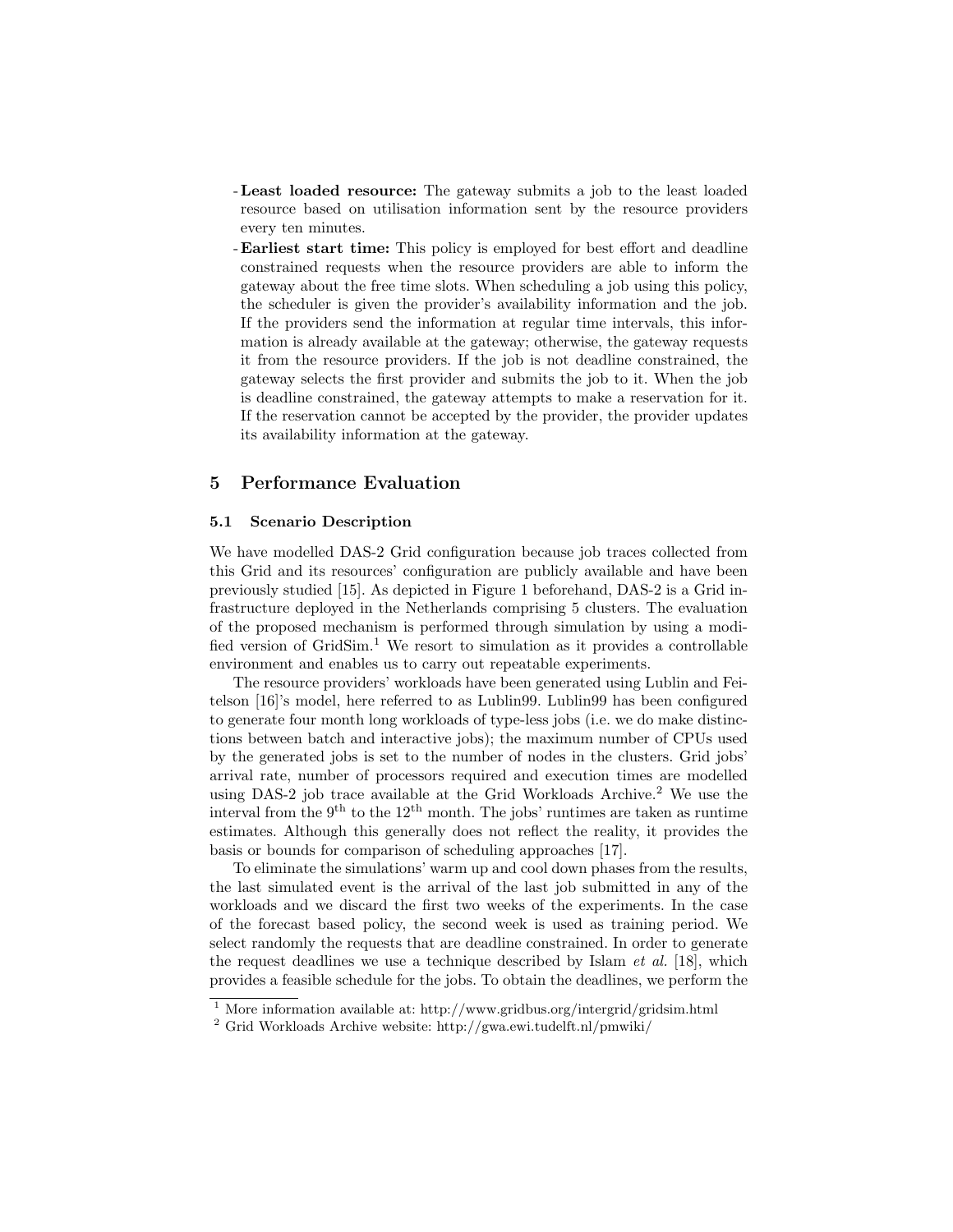- -Least loaded resource: The gateway submits a job to the least loaded resource based on utilisation information sent by the resource providers every ten minutes.
- -**Earliest start time:** This policy is employed for best effort and deadline constrained requests when the resource providers are able to inform the gateway about the free time slots. When scheduling a job using this policy, the scheduler is given the provider's availability information and the job. If the providers send the information at regular time intervals, this information is already available at the gateway; otherwise, the gateway requests it from the resource providers. If the job is not deadline constrained, the gateway selects the first provider and submits the job to it. When the job is deadline constrained, the gateway attempts to make a reservation for it. If the reservation cannot be accepted by the provider, the provider updates its availability information at the gateway.

## 5 Performance Evaluation

#### 5.1 Scenario Description

We have modelled DAS-2 Grid configuration because job traces collected from this Grid and its resources' configuration are publicly available and have been previously studied [15]. As depicted in Figure 1 beforehand, DAS-2 is a Grid infrastructure deployed in the Netherlands comprising 5 clusters. The evaluation of the proposed mechanism is performed through simulation by using a modified version of GridSim.<sup>1</sup> We resort to simulation as it provides a controllable environment and enables us to carry out repeatable experiments.

The resource providers' workloads have been generated using Lublin and Feitelson [16]'s model, here referred to as Lublin99. Lublin99 has been configured to generate four month long workloads of type-less jobs (i.e. we do make distinctions between batch and interactive jobs); the maximum number of CPUs used by the generated jobs is set to the number of nodes in the clusters. Grid jobs' arrival rate, number of processors required and execution times are modelled using DAS-2 job trace available at the Grid Workloads Archive.<sup>2</sup> We use the interval from the  $9<sup>th</sup>$  to the  $12<sup>th</sup>$  month. The jobs' runtimes are taken as runtime estimates. Although this generally does not reflect the reality, it provides the basis or bounds for comparison of scheduling approaches [17].

To eliminate the simulations' warm up and cool down phases from the results, the last simulated event is the arrival of the last job submitted in any of the workloads and we discard the first two weeks of the experiments. In the case of the forecast based policy, the second week is used as training period. We select randomly the requests that are deadline constrained. In order to generate the request deadlines we use a technique described by Islam *et al.* [18], which provides a feasible schedule for the jobs. To obtain the deadlines, we perform the

 $\frac{1}{1}$  More information available at: http://www.gridbus.org/intergrid/gridsim.html

<sup>2</sup> Grid Workloads Archive website: http://gwa.ewi.tudelft.nl/pmwiki/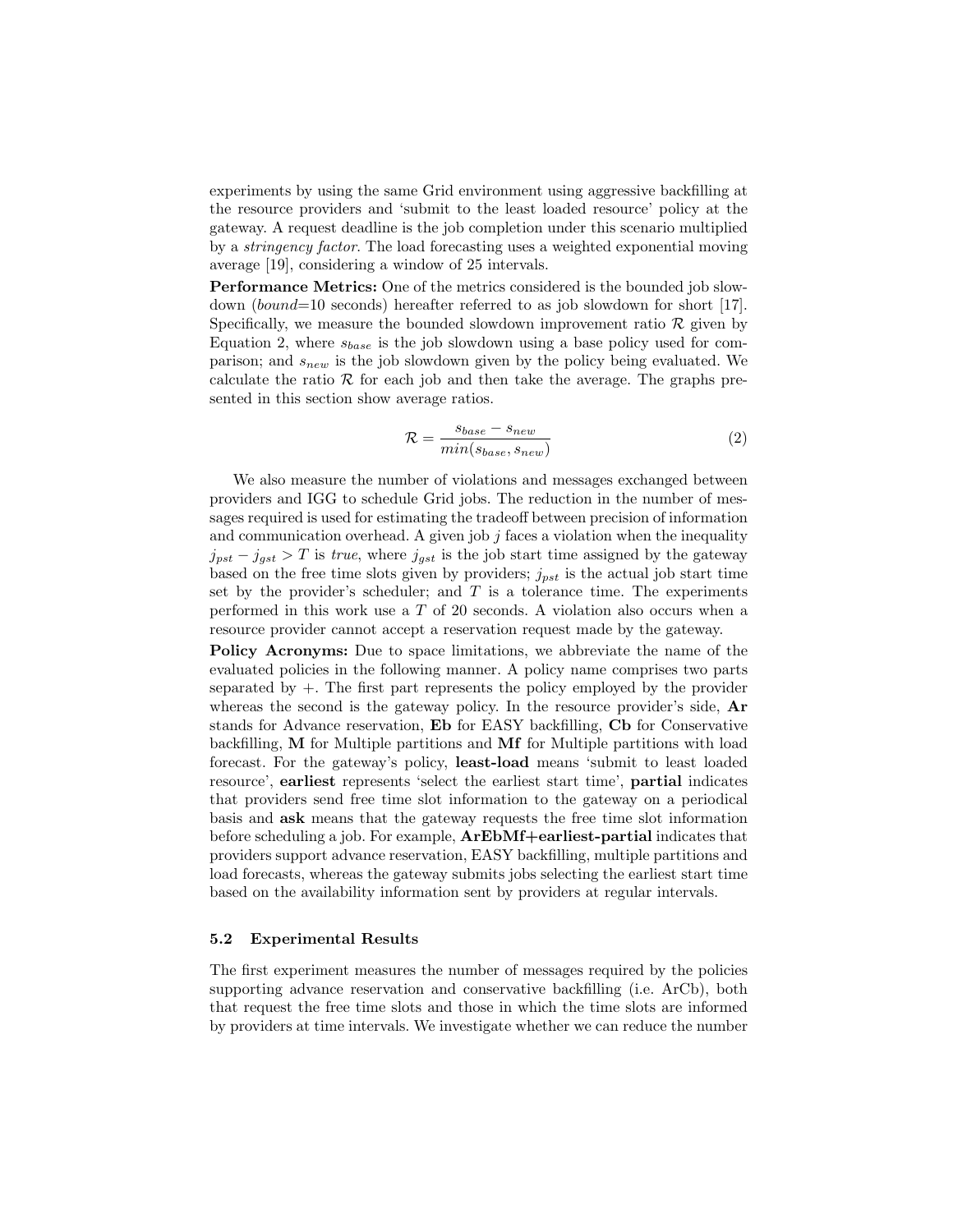experiments by using the same Grid environment using aggressive backfilling at the resource providers and 'submit to the least loaded resource' policy at the gateway. A request deadline is the job completion under this scenario multiplied by a stringency factor. The load forecasting uses a weighted exponential moving average [19], considering a window of 25 intervals.

Performance Metrics: One of the metrics considered is the bounded job slowdown (bound=10 seconds) hereafter referred to as job slowdown for short [17]. Specifically, we measure the bounded slowdown improvement ratio  $\mathcal R$  given by Equation 2, where  $s_{base}$  is the job slowdown using a base policy used for comparison; and  $s_{new}$  is the job slowdown given by the policy being evaluated. We calculate the ratio  $\mathcal R$  for each job and then take the average. The graphs presented in this section show average ratios.

$$
\mathcal{R} = \frac{s_{base} - s_{new}}{\min(s_{base}, s_{new})}
$$
 (2)

We also measure the number of violations and messages exchanged between providers and IGG to schedule Grid jobs. The reduction in the number of messages required is used for estimating the tradeoff between precision of information and communication overhead. A given job  $j$  faces a violation when the inequality  $j_{pst} - j_{gst} > T$  is true, where  $j_{gst}$  is the job start time assigned by the gateway based on the free time slots given by providers;  $j_{pst}$  is the actual job start time set by the provider's scheduler; and  $T$  is a tolerance time. The experiments performed in this work use a T of 20 seconds. A violation also occurs when a resource provider cannot accept a reservation request made by the gateway.

Policy Acronyms: Due to space limitations, we abbreviate the name of the evaluated policies in the following manner. A policy name comprises two parts separated by +. The first part represents the policy employed by the provider whereas the second is the gateway policy. In the resource provider's side, Ar stands for Advance reservation, Eb for EASY backfilling, Cb for Conservative backfilling, M for Multiple partitions and Mf for Multiple partitions with load forecast. For the gateway's policy, least-load means 'submit to least loaded resource', earliest represents 'select the earliest start time', partial indicates that providers send free time slot information to the gateway on a periodical basis and ask means that the gateway requests the free time slot information before scheduling a job. For example, ArEbMf+earliest-partial indicates that providers support advance reservation, EASY backfilling, multiple partitions and load forecasts, whereas the gateway submits jobs selecting the earliest start time based on the availability information sent by providers at regular intervals.

#### 5.2 Experimental Results

The first experiment measures the number of messages required by the policies supporting advance reservation and conservative backfilling (i.e. ArCb), both that request the free time slots and those in which the time slots are informed by providers at time intervals. We investigate whether we can reduce the number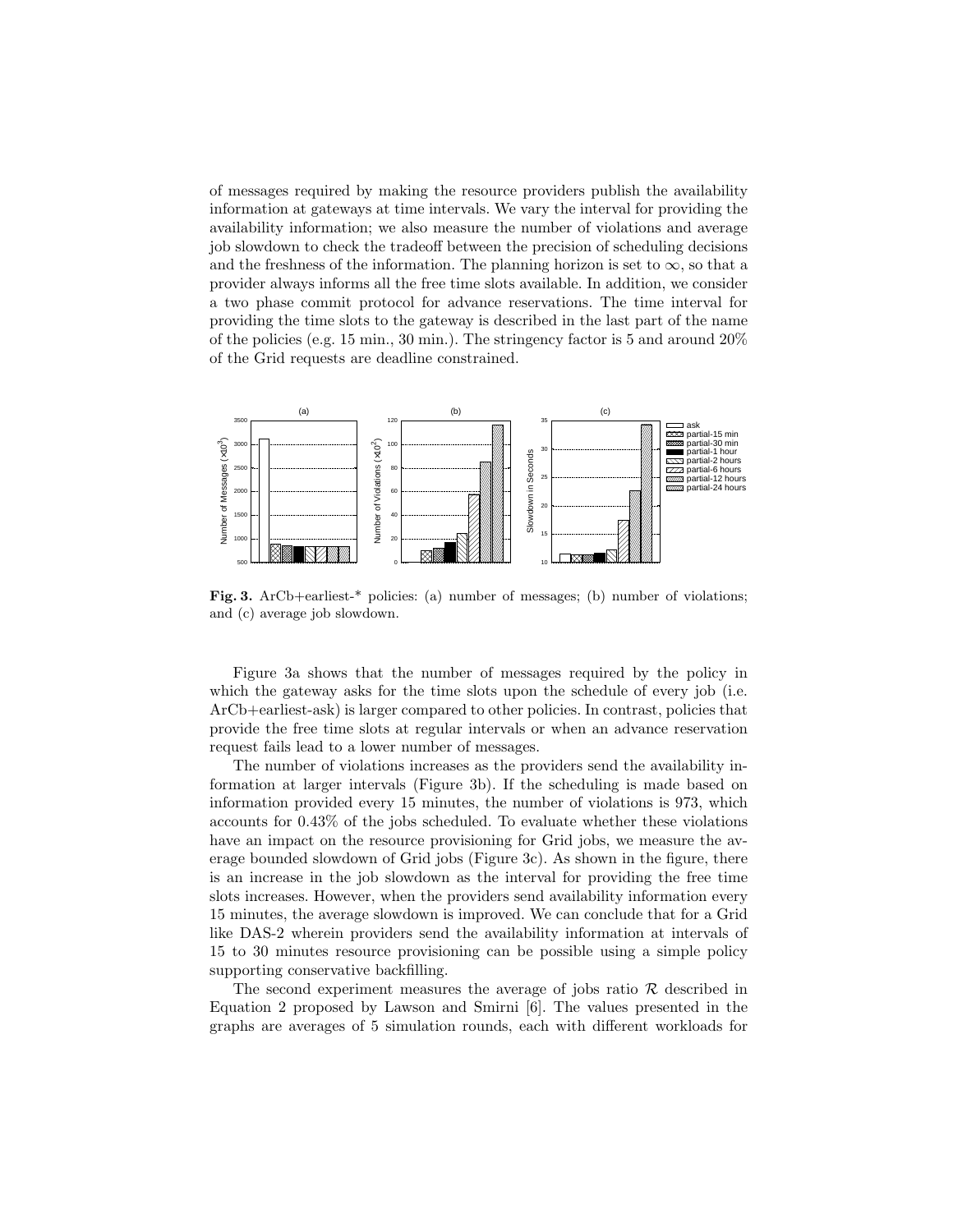of messages required by making the resource providers publish the availability information at gateways at time intervals. We vary the interval for providing the availability information; we also measure the number of violations and average job slowdown to check the tradeoff between the precision of scheduling decisions and the freshness of the information. The planning horizon is set to  $\infty$ , so that a provider always informs all the free time slots available. In addition, we consider a two phase commit protocol for advance reservations. The time interval for providing the time slots to the gateway is described in the last part of the name of the policies (e.g. 15 min., 30 min.). The stringency factor is 5 and around  $20\%$ of the Grid requests are deadline constrained.



Fig. 3. ArCb+earliest-\* policies: (a) number of messages; (b) number of violations; and (c) average job slowdown.

Figure 3a shows that the number of messages required by the policy in which the gateway asks for the time slots upon the schedule of every job (i.e. ArCb+earliest-ask) is larger compared to other policies. In contrast, policies that provide the free time slots at regular intervals or when an advance reservation request fails lead to a lower number of messages.

The number of violations increases as the providers send the availability information at larger intervals (Figure 3b). If the scheduling is made based on information provided every 15 minutes, the number of violations is 973, which accounts for 0.43% of the jobs scheduled. To evaluate whether these violations have an impact on the resource provisioning for Grid jobs, we measure the average bounded slowdown of Grid jobs (Figure 3c). As shown in the figure, there is an increase in the job slowdown as the interval for providing the free time slots increases. However, when the providers send availability information every 15 minutes, the average slowdown is improved. We can conclude that for a Grid like DAS-2 wherein providers send the availability information at intervals of 15 to 30 minutes resource provisioning can be possible using a simple policy supporting conservative backfilling.

The second experiment measures the average of jobs ratio  $\mathcal R$  described in Equation 2 proposed by Lawson and Smirni [6]. The values presented in the graphs are averages of 5 simulation rounds, each with different workloads for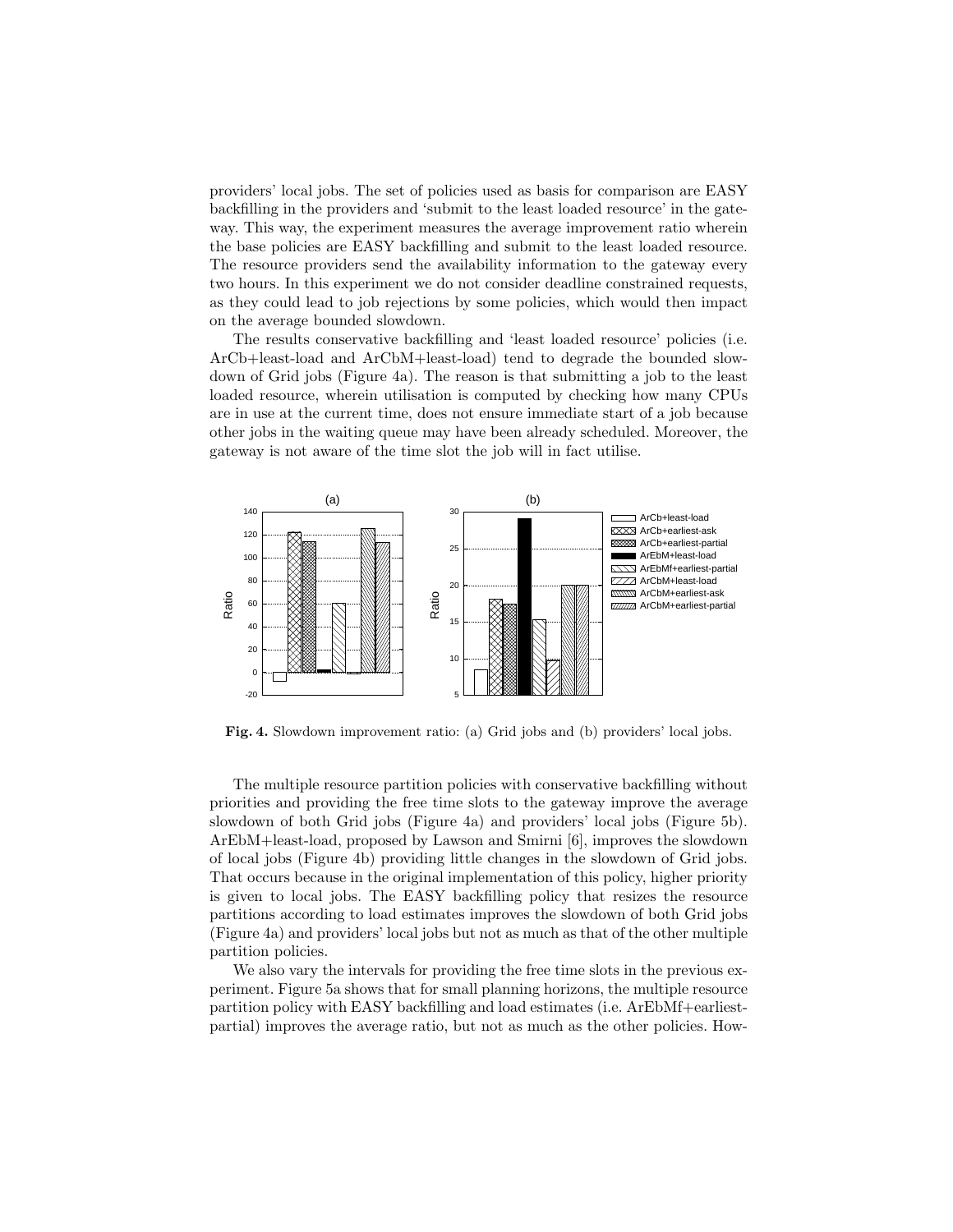providers' local jobs. The set of policies used as basis for comparison are EASY backfilling in the providers and 'submit to the least loaded resource' in the gateway. This way, the experiment measures the average improvement ratio wherein the base policies are EASY backfilling and submit to the least loaded resource. The resource providers send the availability information to the gateway every two hours. In this experiment we do not consider deadline constrained requests, as they could lead to job rejections by some policies, which would then impact on the average bounded slowdown.

The results conservative backfilling and 'least loaded resource' policies (i.e. ArCb+least-load and ArCbM+least-load) tend to degrade the bounded slowdown of Grid jobs (Figure 4a). The reason is that submitting a job to the least loaded resource, wherein utilisation is computed by checking how many CPUs are in use at the current time, does not ensure immediate start of a job because other jobs in the waiting queue may have been already scheduled. Moreover, the gateway is not aware of the time slot the job will in fact utilise.



Fig. 4. Slowdown improvement ratio: (a) Grid jobs and (b) providers' local jobs.

The multiple resource partition policies with conservative backfilling without priorities and providing the free time slots to the gateway improve the average slowdown of both Grid jobs (Figure 4a) and providers' local jobs (Figure 5b). ArEbM+least-load, proposed by Lawson and Smirni [6], improves the slowdown of local jobs (Figure 4b) providing little changes in the slowdown of Grid jobs. That occurs because in the original implementation of this policy, higher priority is given to local jobs. The EASY backfilling policy that resizes the resource partitions according to load estimates improves the slowdown of both Grid jobs (Figure 4a) and providers' local jobs but not as much as that of the other multiple partition policies.

We also vary the intervals for providing the free time slots in the previous experiment. Figure 5a shows that for small planning horizons, the multiple resource partition policy with EASY backfilling and load estimates (i.e. ArEbMf+earliestpartial) improves the average ratio, but not as much as the other policies. How-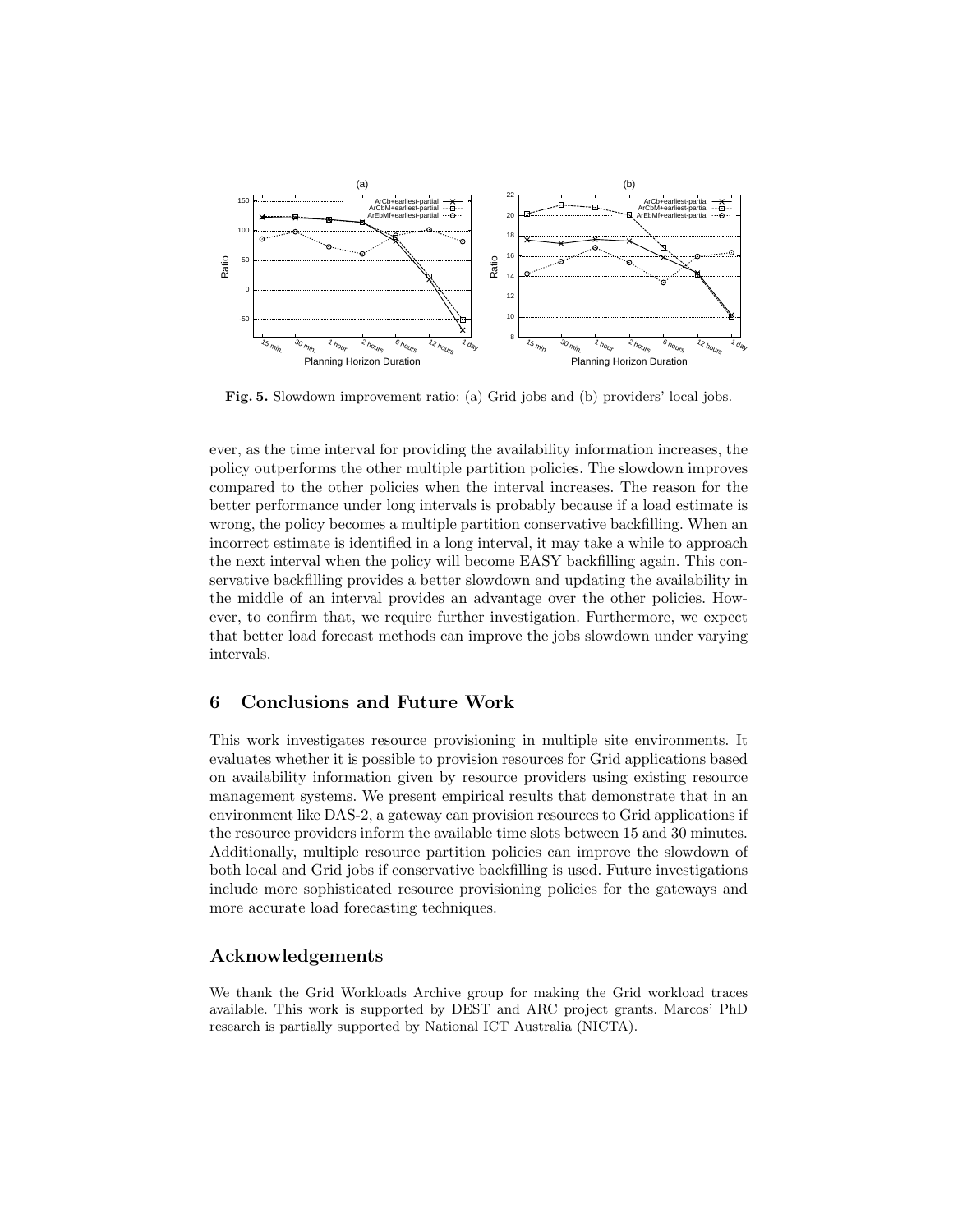

Fig. 5. Slowdown improvement ratio: (a) Grid jobs and (b) providers' local jobs.

ever, as the time interval for providing the availability information increases, the policy outperforms the other multiple partition policies. The slowdown improves compared to the other policies when the interval increases. The reason for the better performance under long intervals is probably because if a load estimate is wrong, the policy becomes a multiple partition conservative backfilling. When an incorrect estimate is identified in a long interval, it may take a while to approach the next interval when the policy will become EASY backfilling again. This conservative backfilling provides a better slowdown and updating the availability in the middle of an interval provides an advantage over the other policies. However, to confirm that, we require further investigation. Furthermore, we expect that better load forecast methods can improve the jobs slowdown under varying intervals.

## 6 Conclusions and Future Work

This work investigates resource provisioning in multiple site environments. It evaluates whether it is possible to provision resources for Grid applications based on availability information given by resource providers using existing resource management systems. We present empirical results that demonstrate that in an environment like DAS-2, a gateway can provision resources to Grid applications if the resource providers inform the available time slots between 15 and 30 minutes. Additionally, multiple resource partition policies can improve the slowdown of both local and Grid jobs if conservative backfilling is used. Future investigations include more sophisticated resource provisioning policies for the gateways and more accurate load forecasting techniques.

#### Acknowledgements

We thank the Grid Workloads Archive group for making the Grid workload traces available. This work is supported by DEST and ARC project grants. Marcos' PhD research is partially supported by National ICT Australia (NICTA).